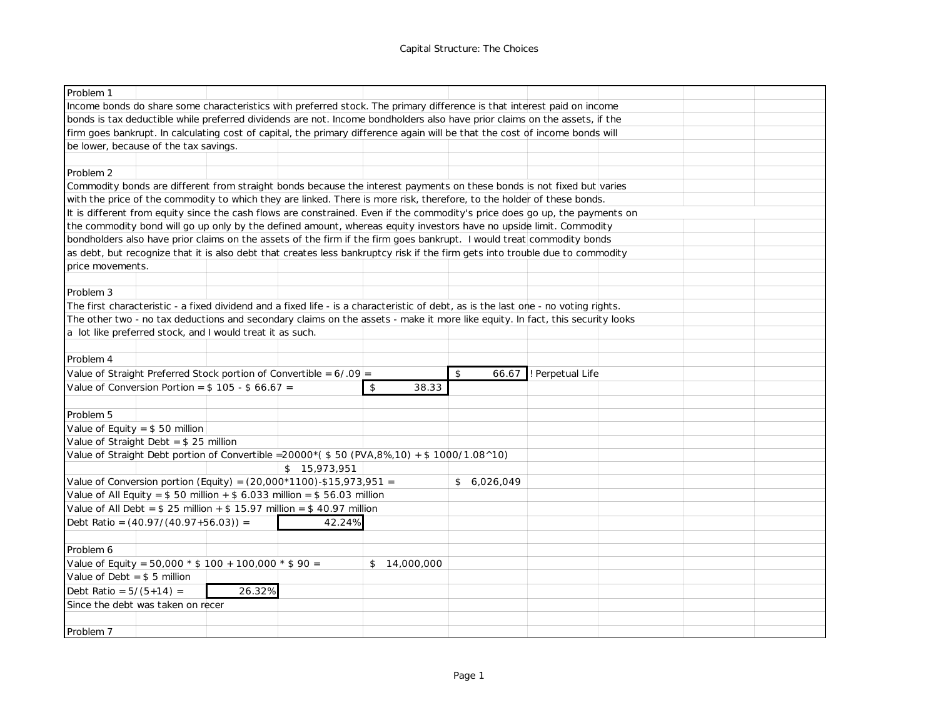| Problem 1                                                                                                                                                                                                                                                           |                                        |                                                           |                                                                                                                              |                         |                |  |                        |  |  |  |
|---------------------------------------------------------------------------------------------------------------------------------------------------------------------------------------------------------------------------------------------------------------------|----------------------------------------|-----------------------------------------------------------|------------------------------------------------------------------------------------------------------------------------------|-------------------------|----------------|--|------------------------|--|--|--|
| Income bonds do share some characteristics with preferred stock. The primary difference is that interest paid on income                                                                                                                                             |                                        |                                                           |                                                                                                                              |                         |                |  |                        |  |  |  |
| bonds is tax deductible while preferred dividends are not. Income bondholders also have prior claims on the assets, if the                                                                                                                                          |                                        |                                                           |                                                                                                                              |                         |                |  |                        |  |  |  |
|                                                                                                                                                                                                                                                                     |                                        |                                                           | firm goes bankrupt. In calculating cost of capital, the primary difference again will be that the cost of income bonds will  |                         |                |  |                        |  |  |  |
|                                                                                                                                                                                                                                                                     | be lower, because of the tax savings.  |                                                           |                                                                                                                              |                         |                |  |                        |  |  |  |
|                                                                                                                                                                                                                                                                     |                                        |                                                           |                                                                                                                              |                         |                |  |                        |  |  |  |
| Problem 2                                                                                                                                                                                                                                                           |                                        |                                                           |                                                                                                                              |                         |                |  |                        |  |  |  |
|                                                                                                                                                                                                                                                                     |                                        |                                                           | Commodity bonds are different from straight bonds because the interest payments on these bonds is not fixed but varies       |                         |                |  |                        |  |  |  |
| with the price of the commodity to which they are linked. There is more risk, therefore, to the holder of these bonds.                                                                                                                                              |                                        |                                                           |                                                                                                                              |                         |                |  |                        |  |  |  |
| It is different from equity since the cash flows are constrained. Even if the commodity's price does go up, the payments on                                                                                                                                         |                                        |                                                           |                                                                                                                              |                         |                |  |                        |  |  |  |
| the commodity bond will go up only by the defined amount, whereas equity investors have no upside limit. Commodity                                                                                                                                                  |                                        |                                                           |                                                                                                                              |                         |                |  |                        |  |  |  |
|                                                                                                                                                                                                                                                                     |                                        |                                                           | bondholders also have prior claims on the assets of the firm if the firm goes bankrupt. I would treat commodity bonds        |                         |                |  |                        |  |  |  |
|                                                                                                                                                                                                                                                                     |                                        |                                                           | as debt, but recognize that it is also debt that creates less bankruptcy risk if the firm gets into trouble due to commodity |                         |                |  |                        |  |  |  |
| price movements.                                                                                                                                                                                                                                                    |                                        |                                                           |                                                                                                                              |                         |                |  |                        |  |  |  |
|                                                                                                                                                                                                                                                                     |                                        |                                                           |                                                                                                                              |                         |                |  |                        |  |  |  |
| Problem 3                                                                                                                                                                                                                                                           |                                        |                                                           |                                                                                                                              |                         |                |  |                        |  |  |  |
|                                                                                                                                                                                                                                                                     |                                        |                                                           |                                                                                                                              |                         |                |  |                        |  |  |  |
| The first characteristic - a fixed dividend and a fixed life - is a characteristic of debt, as is the last one - no voting rights.<br>The other two - no tax deductions and secondary claims on the assets - make it more like equity. In fact, this security looks |                                        |                                                           |                                                                                                                              |                         |                |  |                        |  |  |  |
|                                                                                                                                                                                                                                                                     |                                        | a lot like preferred stock, and I would treat it as such. |                                                                                                                              |                         |                |  |                        |  |  |  |
|                                                                                                                                                                                                                                                                     |                                        |                                                           |                                                                                                                              |                         |                |  |                        |  |  |  |
| Problem 4                                                                                                                                                                                                                                                           |                                        |                                                           |                                                                                                                              |                         |                |  |                        |  |  |  |
|                                                                                                                                                                                                                                                                     |                                        |                                                           | Value of Straight Preferred Stock portion of Convertible = $6/0.09$ =                                                        |                         | $\mathfrak{S}$ |  | 66.67   Perpetual Life |  |  |  |
|                                                                                                                                                                                                                                                                     |                                        | Value of Conversion Portion = $$105 - $66.67 =$           |                                                                                                                              | $\mathfrak{S}$<br>38.33 |                |  |                        |  |  |  |
|                                                                                                                                                                                                                                                                     |                                        |                                                           |                                                                                                                              |                         |                |  |                        |  |  |  |
| Problem 5                                                                                                                                                                                                                                                           |                                        |                                                           |                                                                                                                              |                         |                |  |                        |  |  |  |
|                                                                                                                                                                                                                                                                     | Value of Equity = $$50$ million        |                                                           |                                                                                                                              |                         |                |  |                        |  |  |  |
|                                                                                                                                                                                                                                                                     | Value of Straight Debt = $$25$ million |                                                           |                                                                                                                              |                         |                |  |                        |  |  |  |
|                                                                                                                                                                                                                                                                     |                                        |                                                           | Value of Straight Debt portion of Convertible = 20000*(\$50 (PVA,8%,10) + \$1000/1.08^10)                                    |                         |                |  |                        |  |  |  |
|                                                                                                                                                                                                                                                                     |                                        |                                                           | \$15,973,951                                                                                                                 |                         |                |  |                        |  |  |  |
|                                                                                                                                                                                                                                                                     |                                        |                                                           |                                                                                                                              |                         | \$6,026,049    |  |                        |  |  |  |
| Value of Conversion portion (Equity) = $(20,000*1100)$ -\$15,973,951 =<br>Value of All Equity = $$50$ million + $$6.033$ million = $$56.03$ million                                                                                                                 |                                        |                                                           |                                                                                                                              |                         |                |  |                        |  |  |  |
| Value of All Debt = $$25$ million + $$15.97$ million = $$40.97$ million                                                                                                                                                                                             |                                        |                                                           |                                                                                                                              |                         |                |  |                        |  |  |  |
|                                                                                                                                                                                                                                                                     | Debt Ratio = $(40.97/(40.97+56.03))$ = |                                                           | 42.24%                                                                                                                       |                         |                |  |                        |  |  |  |
|                                                                                                                                                                                                                                                                     |                                        |                                                           |                                                                                                                              |                         |                |  |                        |  |  |  |
| Problem 6                                                                                                                                                                                                                                                           |                                        |                                                           |                                                                                                                              |                         |                |  |                        |  |  |  |
|                                                                                                                                                                                                                                                                     |                                        |                                                           |                                                                                                                              | 14,000,000<br>\$        |                |  |                        |  |  |  |
| Value of Equity = $50,000 * $ 100 + 100,000 * $ 90 =$<br>Value of Debt = $$5$ million                                                                                                                                                                               |                                        |                                                           |                                                                                                                              |                         |                |  |                        |  |  |  |
| Debt Ratio = $5/(5+14)$ =                                                                                                                                                                                                                                           |                                        | 26.32%                                                    |                                                                                                                              |                         |                |  |                        |  |  |  |
|                                                                                                                                                                                                                                                                     |                                        |                                                           |                                                                                                                              |                         |                |  |                        |  |  |  |
|                                                                                                                                                                                                                                                                     | Since the debt was taken on recer      |                                                           |                                                                                                                              |                         |                |  |                        |  |  |  |
|                                                                                                                                                                                                                                                                     |                                        |                                                           |                                                                                                                              |                         |                |  |                        |  |  |  |
| Problem 7                                                                                                                                                                                                                                                           |                                        |                                                           |                                                                                                                              |                         |                |  |                        |  |  |  |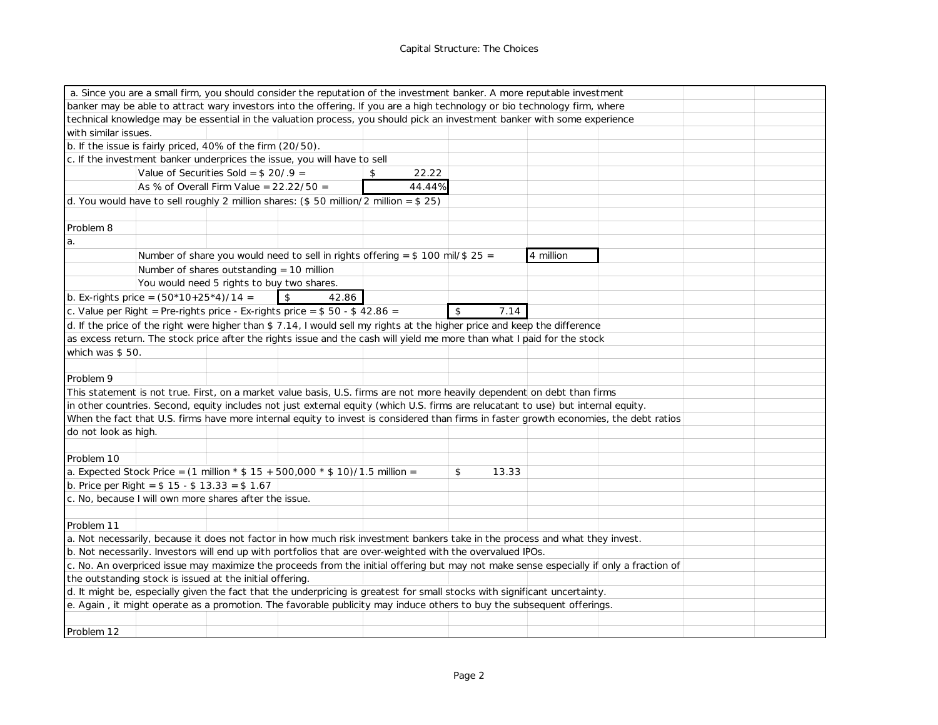| a. Since you are a small firm, you should consider the reputation of the investment banker. A more reputable investment                                                                                                                             |                                                            |                                             |                                                                                                                                    |             |                           |       |           |                                                                                                                                        |  |
|-----------------------------------------------------------------------------------------------------------------------------------------------------------------------------------------------------------------------------------------------------|------------------------------------------------------------|---------------------------------------------|------------------------------------------------------------------------------------------------------------------------------------|-------------|---------------------------|-------|-----------|----------------------------------------------------------------------------------------------------------------------------------------|--|
|                                                                                                                                                                                                                                                     |                                                            |                                             | banker may be able to attract wary investors into the offering. If you are a high technology or bio technology firm, where         |             |                           |       |           |                                                                                                                                        |  |
|                                                                                                                                                                                                                                                     |                                                            |                                             | technical knowledge may be essential in the valuation process, you should pick an investment banker with some experience           |             |                           |       |           |                                                                                                                                        |  |
| with similar issues.                                                                                                                                                                                                                                |                                                            |                                             |                                                                                                                                    |             |                           |       |           |                                                                                                                                        |  |
|                                                                                                                                                                                                                                                     | b. If the issue is fairly priced, 40% of the firm (20/50). |                                             |                                                                                                                                    |             |                           |       |           |                                                                                                                                        |  |
|                                                                                                                                                                                                                                                     |                                                            |                                             | c. If the investment banker underprices the issue, you will have to sell                                                           |             |                           |       |           |                                                                                                                                        |  |
|                                                                                                                                                                                                                                                     |                                                            | Value of Securities Sold = $$20/.9$ =       |                                                                                                                                    | 22.22<br>\$ |                           |       |           |                                                                                                                                        |  |
|                                                                                                                                                                                                                                                     |                                                            | As % of Overall Firm Value = $22.22/50$ =   |                                                                                                                                    | 44.44%      |                           |       |           |                                                                                                                                        |  |
|                                                                                                                                                                                                                                                     |                                                            |                                             | d. You would have to sell roughly 2 million shares: $($ 50$ million/2 million = \$25)                                              |             |                           |       |           |                                                                                                                                        |  |
|                                                                                                                                                                                                                                                     |                                                            |                                             |                                                                                                                                    |             |                           |       |           |                                                                                                                                        |  |
| Problem 8                                                                                                                                                                                                                                           |                                                            |                                             |                                                                                                                                    |             |                           |       |           |                                                                                                                                        |  |
| a.                                                                                                                                                                                                                                                  |                                                            |                                             |                                                                                                                                    |             |                           |       |           |                                                                                                                                        |  |
|                                                                                                                                                                                                                                                     |                                                            |                                             | Number of share you would need to sell in rights offering = \$100 mil/\$ 25 =                                                      |             |                           |       | 4 million |                                                                                                                                        |  |
|                                                                                                                                                                                                                                                     |                                                            | Number of shares outstanding $= 10$ million |                                                                                                                                    |             |                           |       |           |                                                                                                                                        |  |
|                                                                                                                                                                                                                                                     |                                                            | You would need 5 rights to buy two shares.  |                                                                                                                                    |             |                           |       |           |                                                                                                                                        |  |
|                                                                                                                                                                                                                                                     | b. Ex-rights price = $(50*10+25*4)/14$ =                   |                                             | \$<br>42.86                                                                                                                        |             |                           |       |           |                                                                                                                                        |  |
|                                                                                                                                                                                                                                                     |                                                            |                                             | c. Value per Right = Pre-rights price - Ex-rights price = $$50 - $42.86 =$                                                         |             | $\boldsymbol{\mathsf{S}}$ | 7.14  |           |                                                                                                                                        |  |
|                                                                                                                                                                                                                                                     |                                                            |                                             | d. If the price of the right were higher than \$7.14, I would sell my rights at the higher price and keep the difference           |             |                           |       |           |                                                                                                                                        |  |
|                                                                                                                                                                                                                                                     |                                                            |                                             | as excess return. The stock price after the rights issue and the cash will yield me more than what I paid for the stock            |             |                           |       |           |                                                                                                                                        |  |
| which was \$50.                                                                                                                                                                                                                                     |                                                            |                                             |                                                                                                                                    |             |                           |       |           |                                                                                                                                        |  |
|                                                                                                                                                                                                                                                     |                                                            |                                             |                                                                                                                                    |             |                           |       |           |                                                                                                                                        |  |
| Problem 9                                                                                                                                                                                                                                           |                                                            |                                             |                                                                                                                                    |             |                           |       |           |                                                                                                                                        |  |
|                                                                                                                                                                                                                                                     |                                                            |                                             | This statement is not true. First, on a market value basis, U.S. firms are not more heavily dependent on debt than firms           |             |                           |       |           |                                                                                                                                        |  |
|                                                                                                                                                                                                                                                     |                                                            |                                             | in other countries. Second, equity includes not just external equity (which U.S. firms are relucatant to use) but internal equity. |             |                           |       |           |                                                                                                                                        |  |
|                                                                                                                                                                                                                                                     |                                                            |                                             |                                                                                                                                    |             |                           |       |           | When the fact that U.S. firms have more internal equity to invest is considered than firms in faster growth economies, the debt ratios |  |
| do not look as high.                                                                                                                                                                                                                                |                                                            |                                             |                                                                                                                                    |             |                           |       |           |                                                                                                                                        |  |
|                                                                                                                                                                                                                                                     |                                                            |                                             |                                                                                                                                    |             |                           |       |           |                                                                                                                                        |  |
| Problem 10                                                                                                                                                                                                                                          |                                                            |                                             |                                                                                                                                    |             |                           |       |           |                                                                                                                                        |  |
|                                                                                                                                                                                                                                                     |                                                            |                                             | a. Expected Stock Price = $(1 \text{ million} * $ 15 + 500,000 * $ 10)/1.5 \text{ million} =$                                      |             | \$                        | 13.33 |           |                                                                                                                                        |  |
| b. Price per Right = $$15 - $13.33 = $1.67$                                                                                                                                                                                                         |                                                            |                                             |                                                                                                                                    |             |                           |       |           |                                                                                                                                        |  |
|                                                                                                                                                                                                                                                     | c. No, because I will own more shares after the issue.     |                                             |                                                                                                                                    |             |                           |       |           |                                                                                                                                        |  |
|                                                                                                                                                                                                                                                     |                                                            |                                             |                                                                                                                                    |             |                           |       |           |                                                                                                                                        |  |
| Problem 11                                                                                                                                                                                                                                          |                                                            |                                             |                                                                                                                                    |             |                           |       |           |                                                                                                                                        |  |
|                                                                                                                                                                                                                                                     |                                                            |                                             | a. Not necessarily, because it does not factor in how much risk investment bankers take in the process and what they invest.       |             |                           |       |           |                                                                                                                                        |  |
|                                                                                                                                                                                                                                                     |                                                            |                                             | b. Not necessarily. Investors will end up with portfolios that are over-weighted with the overvalued IPOs.                         |             |                           |       |           |                                                                                                                                        |  |
| c. No. An overpriced issue may maximize the proceeds from the initial offering but may not make sense especially if only a fraction of                                                                                                              |                                                            |                                             |                                                                                                                                    |             |                           |       |           |                                                                                                                                        |  |
| the outstanding stock is issued at the initial offering.                                                                                                                                                                                            |                                                            |                                             |                                                                                                                                    |             |                           |       |           |                                                                                                                                        |  |
| d. It might be, especially given the fact that the underpricing is greatest for small stocks with significant uncertainty.<br>e. Again, it might operate as a promotion. The favorable publicity may induce others to buy the subsequent offerings. |                                                            |                                             |                                                                                                                                    |             |                           |       |           |                                                                                                                                        |  |
|                                                                                                                                                                                                                                                     |                                                            |                                             |                                                                                                                                    |             |                           |       |           |                                                                                                                                        |  |
|                                                                                                                                                                                                                                                     |                                                            |                                             |                                                                                                                                    |             |                           |       |           |                                                                                                                                        |  |
| Problem 12                                                                                                                                                                                                                                          |                                                            |                                             |                                                                                                                                    |             |                           |       |           |                                                                                                                                        |  |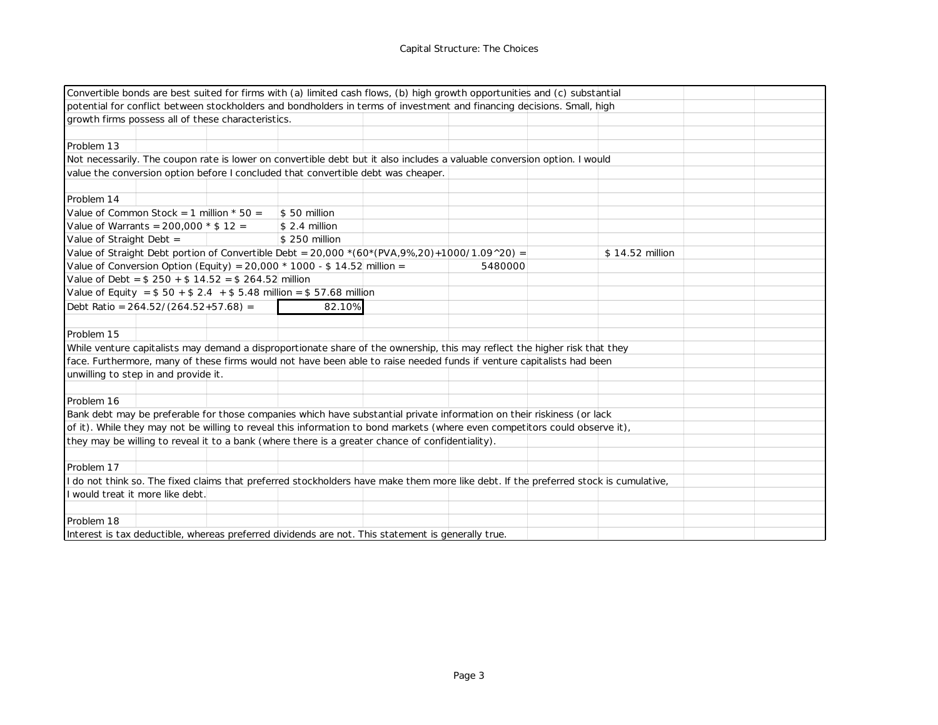| Convertible bonds are best suited for firms with (a) limited cash flows, (b) high growth opportunities and (c) substantial         |                |         |                 |  |
|------------------------------------------------------------------------------------------------------------------------------------|----------------|---------|-----------------|--|
| potential for conflict between stockholders and bondholders in terms of investment and financing decisions. Small, high            |                |         |                 |  |
| growth firms possess all of these characteristics.                                                                                 |                |         |                 |  |
|                                                                                                                                    |                |         |                 |  |
| Problem 13                                                                                                                         |                |         |                 |  |
| Not necessarily. The coupon rate is lower on convertible debt but it also includes a valuable conversion option. I would           |                |         |                 |  |
| value the conversion option before I concluded that convertible debt was cheaper.                                                  |                |         |                 |  |
|                                                                                                                                    |                |         |                 |  |
| Problem 14                                                                                                                         |                |         |                 |  |
| Value of Common Stock = 1 million $*$ 50 =                                                                                         | \$50 million   |         |                 |  |
| Value of Warrants = $200,000 * $ 12 =$                                                                                             | \$ 2.4 million |         |                 |  |
| Value of Straight Debt $=$                                                                                                         | \$250 million  |         |                 |  |
| Value of Straight Debt portion of Convertible Debt = $20,000*(60*(PVA,9\%,20)+1,000/1.09^2)$ =                                     |                |         | \$14.52 million |  |
| Value of Conversion Option (Equity) = 20,000 $*$ 1000 - \$ 14.52 million =                                                         |                | 5480000 |                 |  |
| Value of Debt = $$250 + $14.52 = $264.52$ million                                                                                  |                |         |                 |  |
| Value of Equity = $$50 + $2.4 + $5.48$ million = \$57.68 million                                                                   |                |         |                 |  |
| Debt Ratio = $264.52/(264.52+57.68)$ =                                                                                             | 82.10%         |         |                 |  |
|                                                                                                                                    |                |         |                 |  |
| Problem 15                                                                                                                         |                |         |                 |  |
| While venture capitalists may demand a disproportionate share of the ownership, this may reflect the higher risk that they         |                |         |                 |  |
| face. Furthermore, many of these firms would not have been able to raise needed funds if venture capitalists had been              |                |         |                 |  |
| unwilling to step in and provide it.                                                                                               |                |         |                 |  |
|                                                                                                                                    |                |         |                 |  |
| Problem 16                                                                                                                         |                |         |                 |  |
| Bank debt may be preferable for those companies which have substantial private information on their riskiness (or lack             |                |         |                 |  |
| of it). While they may not be willing to reveal this information to bond markets (where even competitors could observe it),        |                |         |                 |  |
| they may be willing to reveal it to a bank (where there is a greater chance of confidentiality).                                   |                |         |                 |  |
|                                                                                                                                    |                |         |                 |  |
| Problem 17                                                                                                                         |                |         |                 |  |
| do not think so. The fixed claims that preferred stockholders have make them more like debt. If the preferred stock is cumulative, |                |         |                 |  |
| would treat it more like debt.                                                                                                     |                |         |                 |  |
|                                                                                                                                    |                |         |                 |  |
| Problem 18                                                                                                                         |                |         |                 |  |
| Interest is tax deductible, whereas preferred dividends are not. This statement is generally true.                                 |                |         |                 |  |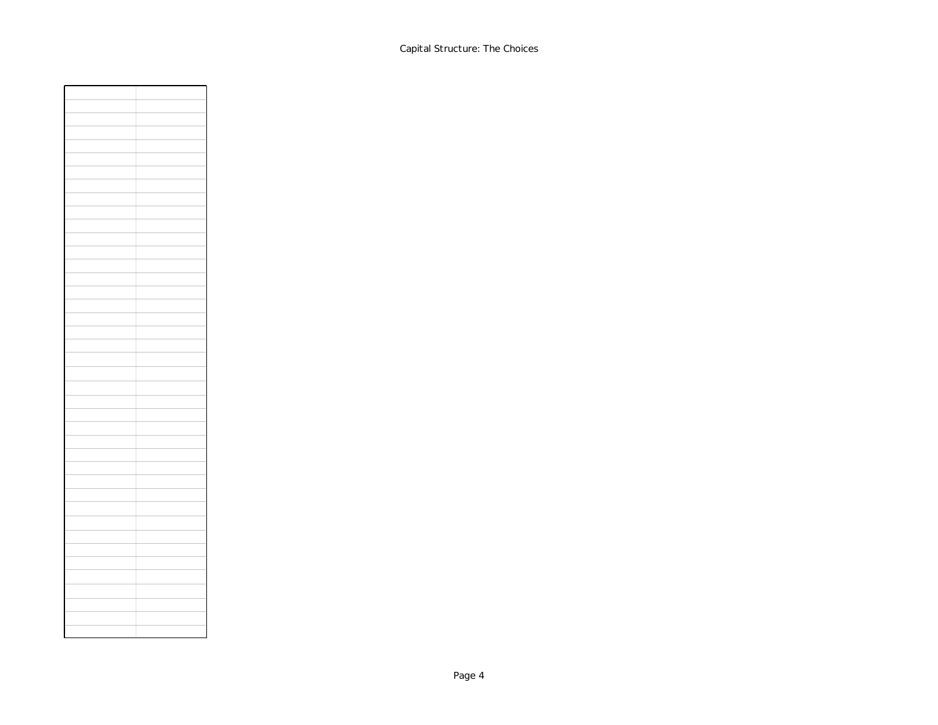Capital Structure: The Choices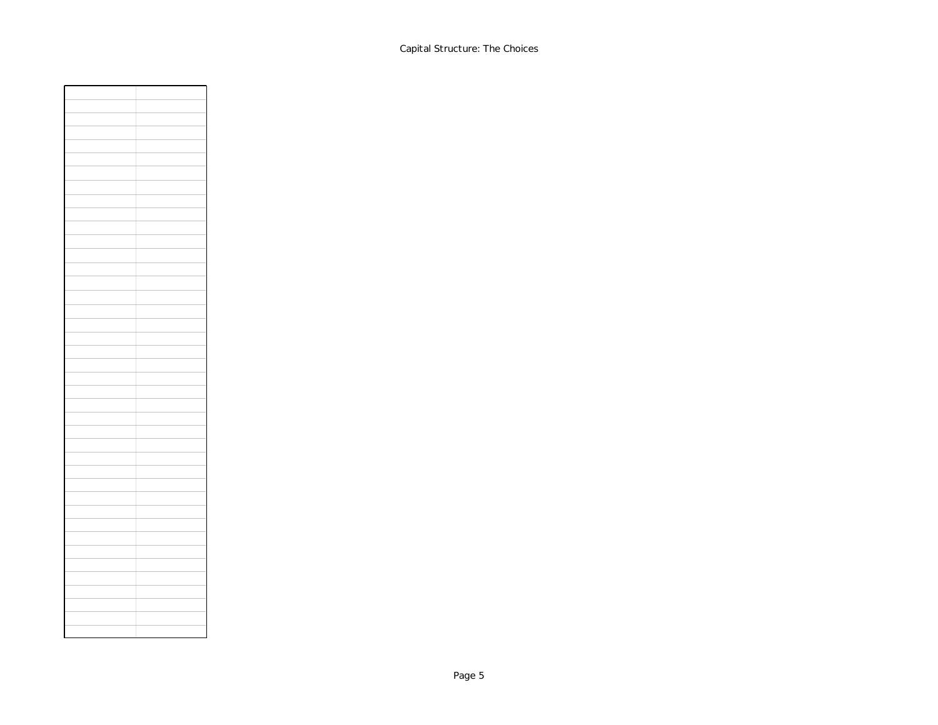Capital Structure: The Choices